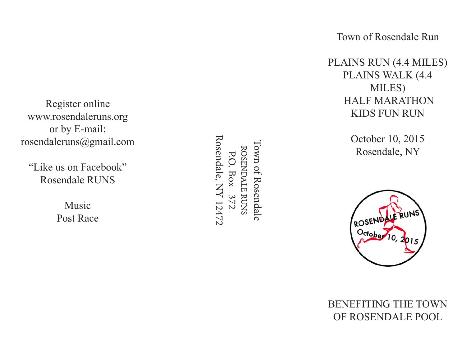Town of Rosendale Run

PLAINS RUN (4.4 MILES) PLAINS WALK (4.4 MILES) HALF MARATHON KIDS FUN RUN

> October 10, 2015 Rosendale, NY



### BENEFITING THE TOWN OF ROSENDALE POOL

Register online www.rosendaleruns.org or by E-mail: rosendaleruns@gmail.com

"Like us on Facebook" Rosendale RUNS

> Music Post Race

Rosendale, NY 12472 Rosendale, NY 12472Town of Rosendale Town of Rosendale ROSENDALE RUNS ROSENDALE RUNS P.O. Box 372 P.O. Box 372